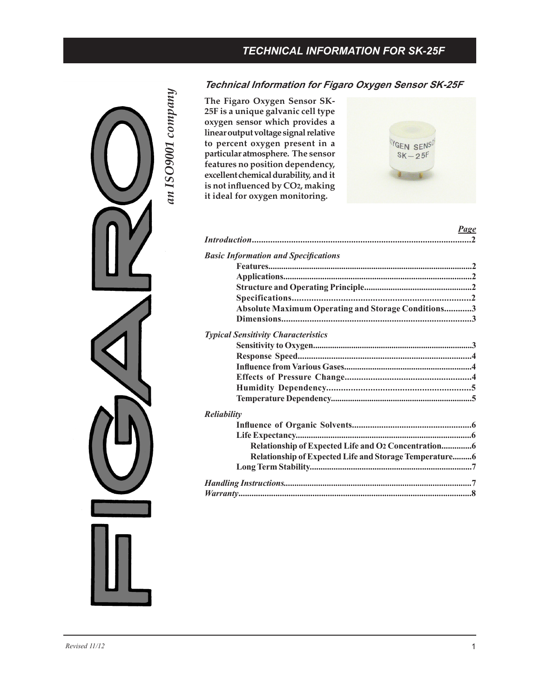# *TECHNICAL INFORMATION FOR SK-25F*



# **Technical Information for Figaro Oxygen Sensor SK-25F**

**The Figaro Oxygen Sensor SK-25F is a unique galvanic cell type oxygen sensor which provides a linear output voltage signal relative to percent oxygen present in a particular atmosphere. The sensor features no position dependency, excellent chemical durability, and it is not influenced by CO2, making it ideal for oxygen monitoring.**



| Page                                                          |
|---------------------------------------------------------------|
|                                                               |
| <b>Basic Information and Specifications</b>                   |
|                                                               |
|                                                               |
|                                                               |
|                                                               |
| Absolute Maximum Operating and Storage Conditions3            |
|                                                               |
| <b>Typical Sensitivity Characteristics</b>                    |
|                                                               |
|                                                               |
|                                                               |
|                                                               |
|                                                               |
|                                                               |
| <b>Reliability</b>                                            |
|                                                               |
|                                                               |
|                                                               |
| <b>Relationship of Expected Life and Storage Temperature6</b> |
|                                                               |
|                                                               |
|                                                               |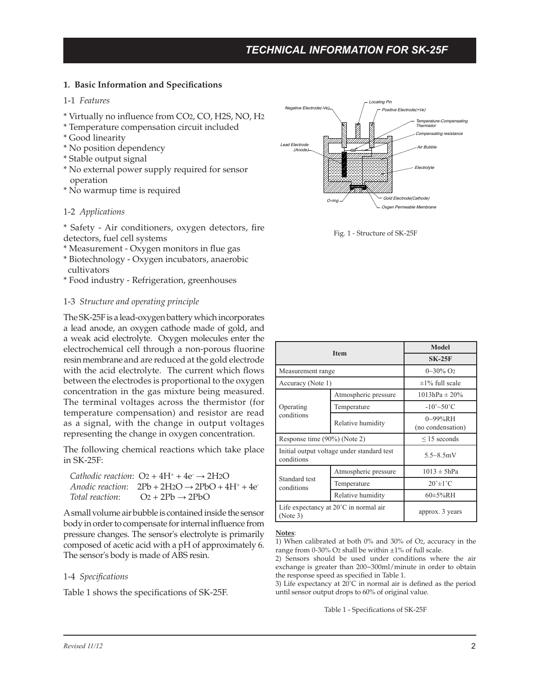# **1. Basic Information and Specifications**

# 1-1 *Features*

- \* Virtually no influence from CO2, CO, H2S, NO, H2
- \* Temperature compensation circuit included
- \* Good linearity
- \* No position dependency
- \* Stable output signal
- \* No external power supply required for sensor operation
- \* No warmup time is required

### 1-2 *Applications*

\* Safety - Air conditioners, oxygen detectors, fire detectors, fuel cell systems

- \* Measurement Oxygen monitors in flue gas
- \* Biotechnology Oxygen incubators, anaerobic cultivators
- \* Food industry Refrigeration, greenhouses

#### 1-3 *Structure and operating principle*

The SK-25F is a lead-oxygen battery which incorporates a lead anode, an oxygen cathode made of gold, and a weak acid electrolyte. Oxygen molecules enter the electrochemical cell through a non-porous fluorine resin membrane and are reduced at the gold electrode with the acid electrolyte. The current which flows between the electrodes is proportional to the oxygen concentration in the gas mixture being measured. The terminal voltages across the thermistor (for temperature compensation) and resistor are read as a signal, with the change in output voltages representing the change in oxygen concentration.

The following chemical reactions which take place in SK-25F:

|                 | Cathodic reaction: $O_2 + 4H^+ + 4e^- \rightarrow 2H_2O$     |
|-----------------|--------------------------------------------------------------|
|                 | Anodic reaction: $2Pb + 2H2O \rightarrow 2PbO + 4H^+ + 4e^-$ |
| Total reaction: | $Q_2 + 2Pb \rightarrow 2PbQ$                                 |

A small volume air bubble is contained inside the sensor body in order to compensate for internal influence from pressure changes. The sensor's electrolyte is primarily composed of acetic acid with a pH of approximately 6. The sensor's body is made of ABS resin.

### 1-4 *Specifications*

Table 1 shows the specifications of SK-25F.



Fig. 1 - Structure of SK-25F

| <b>Item</b>                                                 |                      | <b>Model</b>                   |
|-------------------------------------------------------------|----------------------|--------------------------------|
|                                                             |                      | $SK-25F$                       |
| Measurement range                                           |                      | $0\sim 30\%$ O <sub>2</sub>    |
| Accuracy (Note 1)                                           |                      | $\pm$ 1% full scale            |
| Operating<br>conditions                                     | Atmospheric pressure | $1013hPa \pm 20\%$             |
|                                                             | Temperature          | $-10^{\circ}$ ~50 $^{\circ}$ C |
|                                                             | Relative humidity    | 0~99%RH<br>(no condensation)   |
| Response time (90%) (Note 2)                                |                      | $\leq$ 15 seconds              |
| Initial output voltage under standard test<br>conditions    |                      | $5.5 - 8.5$ mV                 |
| Standard test<br>conditions                                 | Atmospheric pressure | $1013 \pm 5hPa$                |
|                                                             | Temperature          | $20^\circ \pm 1^\circ C$       |
|                                                             | Relative humidity    | $60\pm5\%$ RH                  |
| Life expectancy at $20^{\circ}$ C in normal air<br>(Note 3) |                      | approx. 3 years                |

#### **Notes**:

1) When calibrated at both 0% and 30% of O2, accuracy in the range from 0-30% O2 shall be within  $\pm 1$ % of full scale.

2) Sensors should be used under conditions where the air exchange is greater than 200~300ml/minute in order to obtain the response speed as specified in Table 1.

3) Life expectancy at 20˚C in normal air is defined as the period until sensor output drops to 60% of original value.

Table 1 - Specifications of SK-25F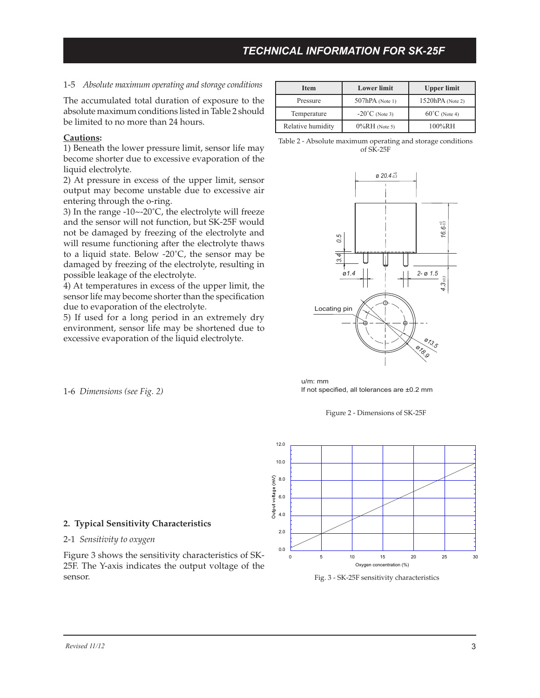# 1-5 *Absolute maximum operating and storage conditions*

The accumulated total duration of exposure to the absolute maximum conditions listed in Table 2 should be limited to no more than 24 hours.

### **Cautions:**

1) Beneath the lower pressure limit, sensor life may become shorter due to excessive evaporation of the liquid electrolyte.

2) At pressure in excess of the upper limit, sensor output may become unstable due to excessive air entering through the o-ring.

3) In the range -10~-20˚C, the electrolyte will freeze and the sensor will not function, but SK-25F would not be damaged by freezing of the electrolyte and will resume functioning after the electrolyte thaws to a liquid state. Below -20˚C, the sensor may be damaged by freezing of the electrolyte, resulting in possible leakage of the electrolyte.

4) At temperatures in excess of the upper limit, the sensor life may become shorter than the specification due to evaporation of the electrolyte.

5) If used for a long period in an extremely dry environment, sensor life may be shortened due to excessive evaporation of the liquid electrolyte.

| <b>Item</b>       | <b>Lower</b> limit       | <b>Upper limit</b>      |
|-------------------|--------------------------|-------------------------|
| Pressure          | $507hPA$ (Note 1)        | $1520hPA$ (Note 2)      |
| Temperature       | $-20^{\circ}$ C (Note 3) | $60^{\circ}$ C (Note 4) |
| Relative humidity | $0\%RH$ (Note 5)         | 100%RH                  |

Table 2 - Absolute maximum operating and storage conditions of SK-25F



If not specified, all tolerances are ±0.2 mm u/m: mm





Fig. 3 - SK-25F sensitivity characteristics

1-6 *Dimensions (see Fig. 2)*

### **2. Typical Sensitivity Characteristics**

### 2-1 *Sensitivity to oxygen*

Figure 3 shows the sensitivity characteristics of SK-25F. The Y-axis indicates the output voltage of the sensor.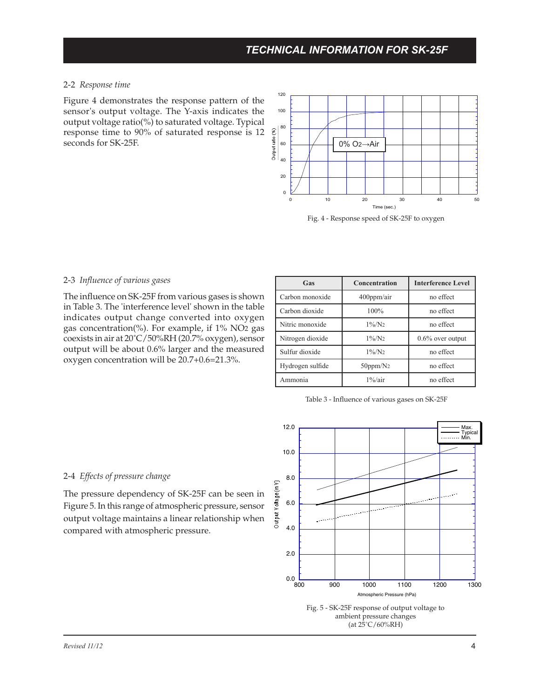### 2-2 *Response time*

Figure 4 demonstrates the response pattern of the sensor's output voltage. The Y-axis indicates the output voltage ratio(%) to saturated voltage. Typical response time to 90% of saturated response is 12 seconds for SK-25F.



Fig. 4 - Response speed of SK-25F to oxygen

# 2-3 *Influence of various gases*

The influence on SK-25F from various gases is shown in Table 3. The 'interference level' shown in the table indicates output change converted into oxygen gas concentration(%). For example, if 1% NO2 gas coexists in air at 20˚C/50%RH (20.7% oxygen), sensor output will be about 0.6% larger and the measured oxygen concentration will be 20.7+0.6=21.3%.

| Gas              | <b>Concentration</b> | <b>Interference Level</b> |
|------------------|----------------------|---------------------------|
| Carbon monoxide  | $400$ ppm/air        | no effect                 |
| Carbon dioxide   | 100%                 | no effect                 |
| Nitric monoxide  | $1\%/N_2$            | no effect                 |
| Nitrogen dioxide | $1\%/N_2$            | $0.6\%$ over output       |
| Sulfur dioxide   | $1\%/N_2$            | no effect                 |
| Hydrogen sulfide | $50$ ppm/ $N_2$      | no effect                 |
| Ammonia          | $1\%$ /air           | no effect                 |

Table 3 - Influence of various gases on SK-25F

#### 2-4 *Effects of pressure change*

The pressure dependency of SK-25F can be seen in Figure 5. In this range of atmospheric pressure, sensor output voltage maintains a linear relationship when compared with atmospheric pressure.

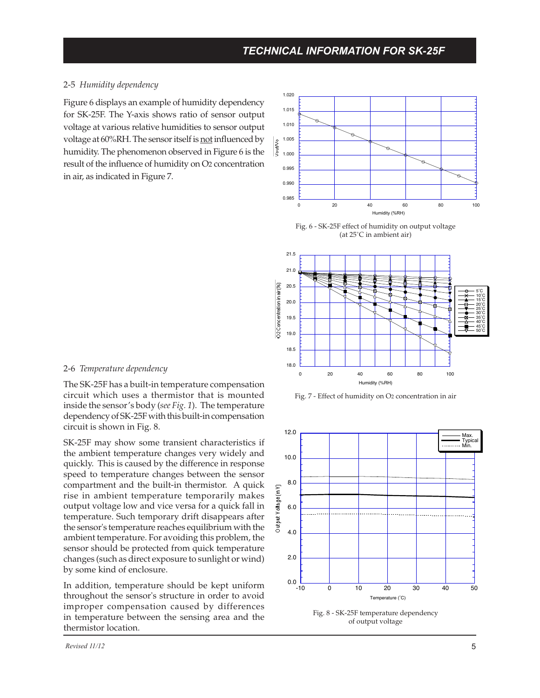### 2-5 *Humidity dependency*

Figure 6 displays an example of humidity dependency for SK-25F. The Y-axis shows ratio of sensor output voltage at various relative humidities to sensor output voltage at 60%RH. The sensor itself is not influenced by humidity. The phenomenon observed in Figure 6 is the result of the influence of humidity on O2 concentration in air, as indicated in Figure 7.







Fig. 7 - Effect of humidity on O2 concentration in air



of output voltage

### 2-6 *Temperature dependency*

The SK-25F has a built-in temperature compensation circuit which uses a thermistor that is mounted inside the sensor's body (*see Fig. 1*). The temperature dependency of SK-25F with this built-in compensation circuit is shown in Fig. 8.

SK-25F may show some transient characteristics if the ambient temperature changes very widely and quickly. This is caused by the difference in response speed to temperature changes between the sensor compartment and the built-in thermistor. A quick rise in ambient temperature temporarily makes output voltage low and vice versa for a quick fall in temperature. Such temporary drift disappears after the sensor's temperature reaches equilibrium with the ambient temperature. For avoiding this problem, the sensor should be protected from quick temperature changes (such as direct exposure to sunlight or wind) by some kind of enclosure.

In addition, temperature should be kept uniform throughout the sensor's structure in order to avoid improper compensation caused by differences in temperature between the sensing area and the thermistor location.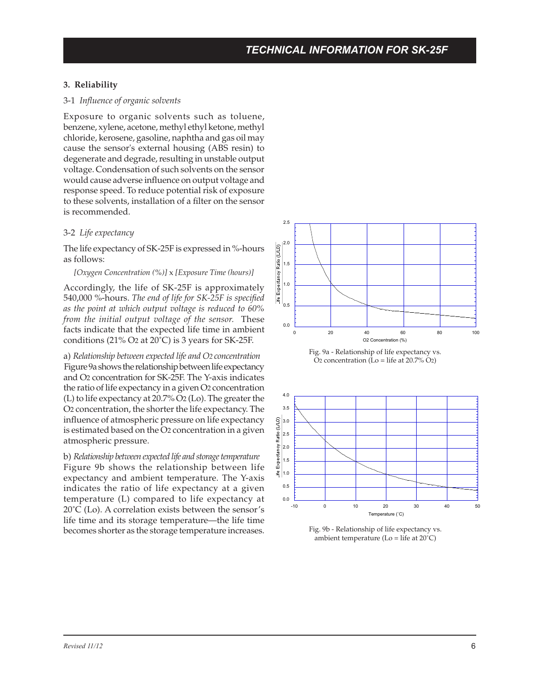# **3. Reliability**

### 3-1 *Influence of organic solvents*

Exposure to organic solvents such as toluene, benzene, xylene, acetone, methyl ethyl ketone, methyl chloride, kerosene, gasoline, naphtha and gas oil may cause the sensor's external housing (ABS resin) to degenerate and degrade, resulting in unstable output voltage. Condensation of such solvents on the sensor would cause adverse influence on output voltage and response speed. To reduce potential risk of exposure to these solvents, installation of a filter on the sensor is recommended.

### 3-2 *Life expectancy*

The life expectancy of SK-25F is expressed in %-hours as follows:

#### *[Oxygen Concentration (%)]* x *[Exposure Time (hours)]*

Accordingly, the life of SK-25F is approximately 540,000 %-hours. *The end of life for SK-25F is specified as the point at which output voltage is reduced to 60% from the initial output voltage of the sensor.* These facts indicate that the expected life time in ambient conditions (21% O2 at 20˚C) is 3 years for SK-25F.

a) *Relationship between expected life and O2 concentration* Figure 9a shows the relationship between life expectancy and O2 concentration for SK-25F. The Y-axis indicates the ratio of life expectancy in a given O2 concentration (L) to life expectancy at 20.7% O2 (Lo). The greater the O2 concentration, the shorter the life expectancy. The influence of atmospheric pressure on life expectancy is estimated based on the O2 concentration in a given atmospheric pressure.

b) *Relationship between expected life and storage temperature* Figure 9b shows the relationship between life expectancy and ambient temperature. The Y-axis indicates the ratio of life expectancy at a given temperature (L) compared to life expectancy at 20˚C (Lo). A correlation exists between the sensor's life time and its storage temperature—the life time becomes shorter as the storage temperature increases.







Fig. 9b - Relationship of life expectancy vs. ambient temperature ( $Lo = life$  at  $20^{\circ}C$ )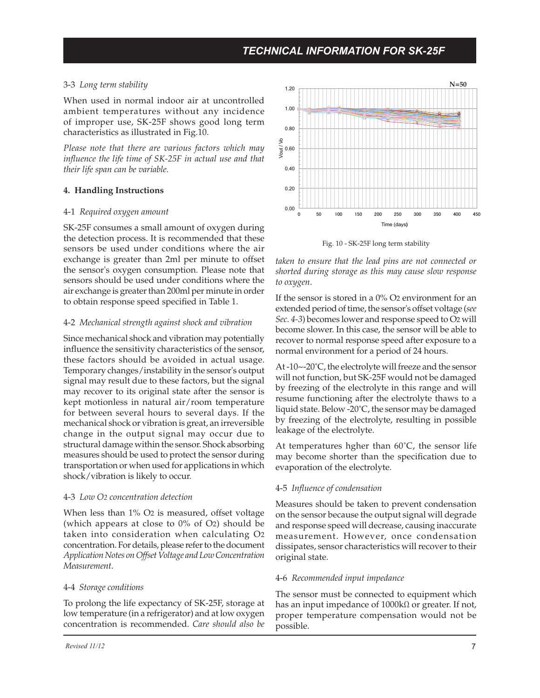# 3-3 *Long term stability*

When used in normal indoor air at uncontrolled ambient temperatures without any incidence of improper use, SK-25F shows good long term characteristics as illustrated in Fig.10.

*Please note that there are various factors which may influence the life time of SK-25F in actual use and that their life span can be variable.*

### **4. Handling Instructions**

### 4-1 *Required oxygen amount*

SK-25F consumes a small amount of oxygen during the detection process. It is recommended that these sensors be used under conditions where the air exchange is greater than 2ml per minute to offset the sensor's oxygen consumption. Please note that sensors should be used under conditions where the air exchange is greater than 200ml per minute in order to obtain response speed specified in Table 1.

# 4-2 *Mechanical strength against shock and vibration*

Since mechanical shock and vibration may potentially influence the sensitivity characteristics of the sensor, these factors should be avoided in actual usage. Temporary changes/instability in the sensor's output signal may result due to these factors, but the signal may recover to its original state after the sensor is kept motionless in natural air/room temperature for between several hours to several days. If the mechanical shock or vibration is great, an irreversible change in the output signal may occur due to structural damage within the sensor. Shock absorbing measures should be used to protect the sensor during transportation or when used for applications in which shock/vibration is likely to occur.

### 4-3 *Low O2 concentration detection*

When less than 1% O<sub>2</sub> is measured, offset voltage (which appears at close to 0% of O2) should be taken into consideration when calculating O2 concentration. For details, please refer to the document *Application Notes on Offset Voltage and Low Concentration Measurement*.

### 4-4 *Storage conditions*

To prolong the life expectancy of SK-25F, storage at low temperature (in a refrigerator) and at low oxygen concentration is recommended. *Care should also be* 



Fig. 10 - SK-25F long term stability

*taken to ensure that the lead pins are not connected or shorted during storage as this may cause slow response to oxygen*.

If the sensor is stored in a  $0\%$  O<sub>2</sub> environment for an extended period of time, the sensor's offset voltage (*see Sec. 4-3*) becomes lower and response speed to O2 will become slower. In this case, the sensor will be able to recover to normal response speed after exposure to a normal environment for a period of 24 hours.

At -10~-20°C, the electrolyte will freeze and the sensor will not function, but SK-25F would not be damaged by freezing of the electrolyte in this range and will resume functioning after the electrolyte thaws to a liquid state. Below -20˚C, the sensor may be damaged by freezing of the electrolyte, resulting in possible leakage of the electrolyte.

At temperatures hgher than  $60^{\circ}$ C, the sensor life may become shorter than the specification due to evaporation of the electrolyte.

# 4-5 *Influence of condensation*

Measures should be taken to prevent condensation on the sensor because the output signal will degrade and response speed will decrease, causing inaccurate measurement. However, once condensation dissipates, sensor characteristics will recover to their original state.

### 4-6 *Recommended input impedance*

The sensor must be connected to equipment which has an input impedance of 1000kΩ or greater. If not, proper temperature compensation would not be possible.